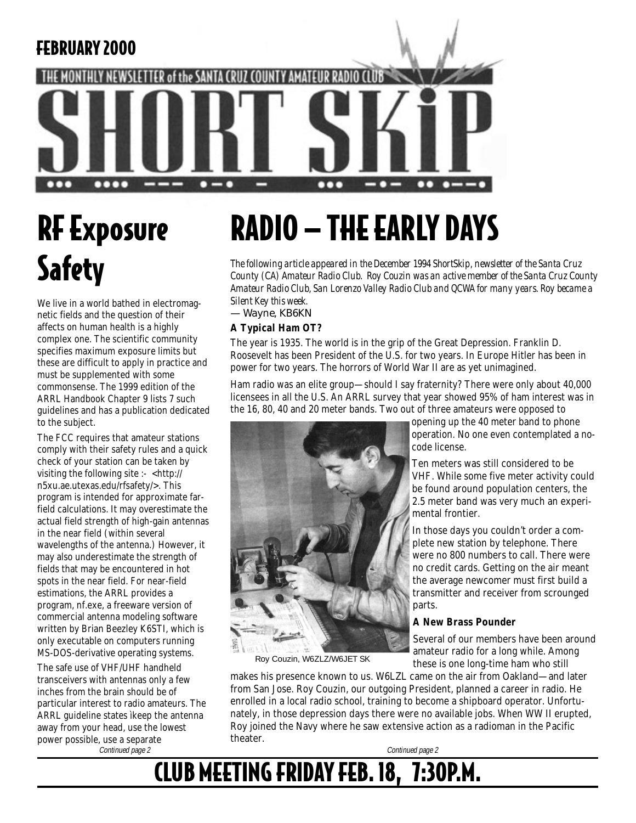

# RF Exposure **Safety**

We live in a world bathed in electromagnetic fields and the question of their affects on human health is a highly complex one. The scientific community specifies maximum exposure limits but these are difficult to apply in practice and must be supplemented with some commonsense. The 1999 edition of the ARRL Handbook Chapter 9 lists 7 such guidelines and has a publication dedicated to the subject.

The FCC requires that amateur stations comply with their safety rules and a quick check of your station can be taken by visiting the following site :- <http:// n5xu.ae.utexas.edu/rfsafety/>. This program is intended for approximate farfield calculations. It may overestimate the actual field strength of high-gain antennas in the near field (within several wavelengths of the antenna.) However, it may also underestimate the strength of fields that may be encountered in hot spots in the near field. For near-field estimations, the ARRL provides a program, nf.exe, a freeware version of commercial antenna modeling software written by Brian Beezley K6STI, which is only executable on computers running MS-DOS-derivative operating systems.

The safe use of VHF/UHF handheld transceivers with antennas only a few inches from the brain should be of particular interest to radio amateurs. The ARRL guideline states ìkeep the antenna away from your head, use the lowest power possible, use a separate Continued page 2 Continued page 2

# RADIO — THE EARLY DAYS

*The following article appeared in the December 1994 ShortSkip, newsletter of the Santa Cruz County (CA) Amateur Radio Club. Roy Couzin was an active member of the Santa Cruz County Amateur Radio Club, San Lorenzo Valley Radio Club and QCWA for many years. Roy became a Silent Key this week.*

*— Wayne, KB6KN*

#### **A Typical Ham OT?**

The year is 1935. The world is in the grip of the Great Depression. Franklin D. Roosevelt has been President of the U.S. for two years. In Europe Hitler has been in power for two years. The horrors of World War II are as yet unimagined.

Ham radio was an elite group—should I say fraternity? There were only about 40,000 licensees in all the U.S. An ARRL survey that year showed 95% of ham interest was in the 16, 80, 40 and 20 meter bands. Two out of three amateurs were opposed to



Roy Couzin, W6ZLZ/W6JET SK

opening up the 40 meter band to phone operation. No one even contemplated a nocode license.

Ten meters was still considered to be VHF. While some five meter activity could be found around population centers, the 2.5 meter band was very much an experimental frontier.

In those days you couldn't order a complete new station by telephone. There were no 800 numbers to call. There were no credit cards. Getting on the air meant the average newcomer must first build a transmitter and receiver from scrounged parts.

#### **A New Brass Pounder**

Several of our members have been around amateur radio for a long while. Among these is one long-time ham who still

makes his presence known to us. W6LZL came on the air from Oakland—and later from San Jose. Roy Couzin, our outgoing President, planned a career in radio. He enrolled in a local radio school, training to become a shipboard operator. Unfortunately, in those depression days there were no available jobs. When WW II erupted, Roy joined the Navy where he saw extensive action as a radioman in the Pacific theater.

### CLUB MEETING FRIDAY FEB. 18, 7:30P.M.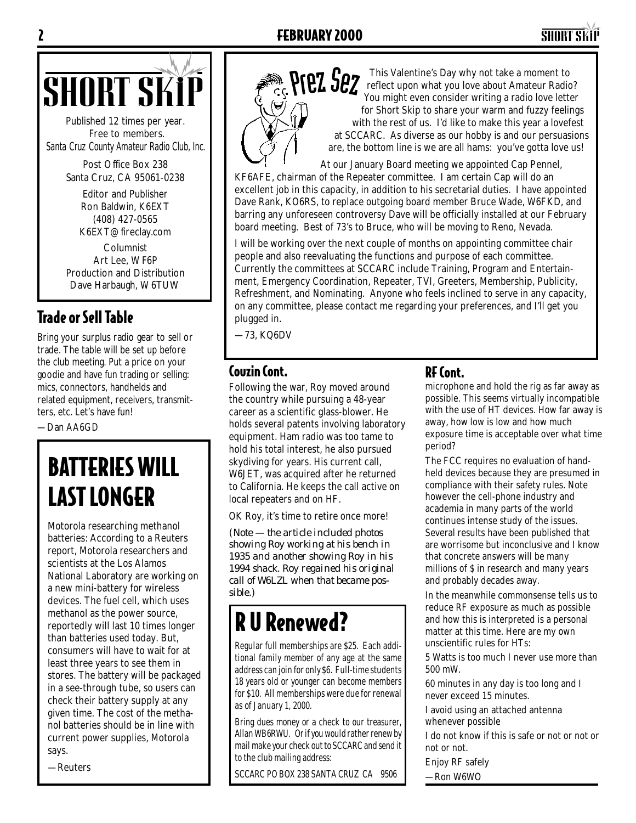

Published 12 times per year. Free to members. *Santa Cruz County Amateur Radio Club, Inc.*

> Post Office Box 238 Santa Cruz, CA 95061-0238

> > Editor and Publisher Ron Baldwin, K6EXT (408) 427-0565 K6EXT@fireclay.com

Columnist Art Lee, WF6P Production and Distribution Dave Harbaugh, W6TUW

### Trade or Sell Table

Bring your surplus radio gear to sell or trade. The table will be set up before the club meeting. Put a price on your goodie and have fun trading or selling: mics, connectors, handhelds and related equipment, receivers, transmitters, etc. Let's have fun!

—Dan AA6GD

# BATTERIES WILL LAST LONGER

Motorola researching methanol batteries: According to a Reuters report, Motorola researchers and scientists at the Los Alamos National Laboratory are working on a new mini-battery for wireless devices. The fuel cell, which uses methanol as the power source, reportedly will last 10 times longer than batteries used today. But, consumers will have to wait for at least three years to see them in stores. The battery will be packaged in a see-through tube, so users can check their battery supply at any given time. The cost of the methanol batteries should be in line with current power supplies, Motorola says.

—Reuters



This Valentine's Day why not take a moment to reflect upon what you love about Amateur Radio? You might even consider writing a radio love letter for Short Skip to share your warm and fuzzy feelings with the rest of us. I'd like to make this year a lovefest at SCCARC. As diverse as our hobby is and our persuasions are, the bottom line is we are all hams: you've gotta love us!

At our January Board meeting we appointed Cap Pennel, KF6AFE, chairman of the Repeater committee. I am certain Cap will do an excellent job in this capacity, in addition to his secretarial duties. I have appointed Dave Rank, KO6RS, to replace outgoing board member Bruce Wade, W6FKD, and barring any unforeseen controversy Dave will be officially installed at our February board meeting. Best of 73's to Bruce, who will be moving to Reno, Nevada.

I will be working over the next couple of months on appointing committee chair people and also reevaluating the functions and purpose of each committee. Currently the committees at SCCARC include Training, Program and Entertainment, Emergency Coordination, Repeater, TVI, Greeters, Membership, Publicity, Refreshment, and Nominating. Anyone who feels inclined to serve in any capacity, on any committee, please contact me regarding your preferences, and I'll get you plugged in.

—73, KQ6DV

#### Couzin Cont. RF Cont.

Following the war, Roy moved around the country while pursuing a 48-year career as a scientific glass-blower. He holds several patents involving laboratory equipment. Ham radio was too tame to hold his total interest, he also pursued skydiving for years. His current call, W6JET, was acquired after he returned to California. He keeps the call active on local repeaters and on HF.

OK Roy, it's time to retire once more!

*(Note — the article included photos showing Roy working at his bench in 1935 and another showing Roy in his 1994 shack. Roy regained his original call of W6LZL when that became possible.)*

## R U Renewed?

Regular full memberships are \$25. Each additional family member of any age at the same address can join for only \$6. Full-time students 18 years old or younger can become members for \$10. All memberships were due for renewal as of January 1, 2000.

Bring dues money or a check to our treasurer, Allan WB6RWU. Or if you would rather renew by mail make your check out to SCCARC and send it to the club mailing address:

SCCARC PO BOX 238 SANTA CRUZ CA 9506

microphone and hold the rig as far away as possible. This seems virtually incompatible with the use of HT devices. How far away is away, how low is low and how much exposure time is acceptable over what time period?

The FCC requires no evaluation of handheld devices because they are presumed in compliance with their safety rules. Note however the cell-phone industry and academia in many parts of the world continues intense study of the issues. Several results have been published that are worrisome but inconclusive and I know that concrete answers will be many millions of \$ in research and many years and probably decades away.

In the meanwhile commonsense tells us to reduce RF exposure as much as possible and how this is interpreted is a personal matter at this time. Here are my own unscientific rules for HTs:

5 Watts is too much I never use more than 500 mW.

60 minutes in any day is too long and I never exceed 15 minutes.

I avoid using an attached antenna whenever possible

I do not know if this is safe or not or not or not or not.

Enjoy RF safely

—Ron W6WO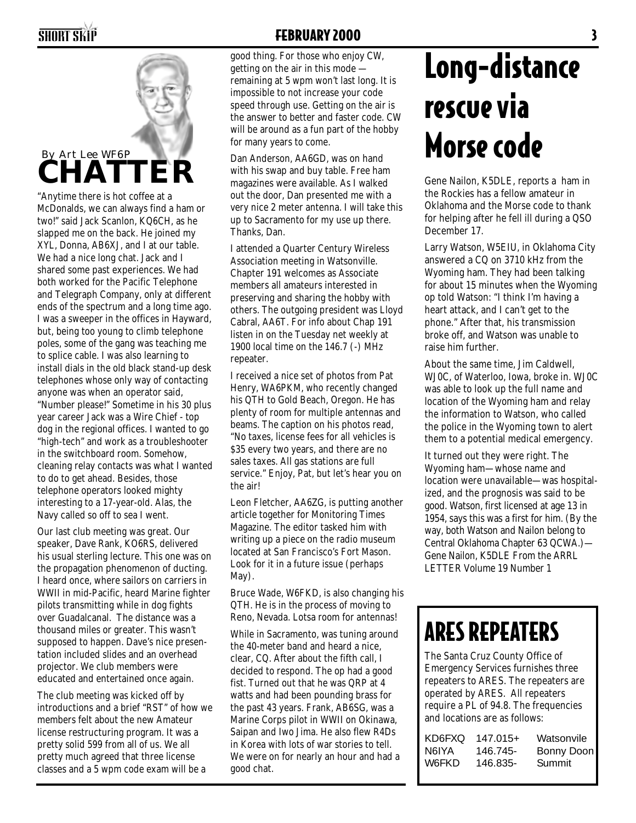

"Anytime there is hot coffee at a McDonalds, we can always find a ham or two!" said Jack Scanlon, KQ6CH, as he slapped me on the back. He joined my XYL, Donna, AB6XJ, and I at our table. We had a nice long chat. Jack and I shared some past experiences. We had both worked for the Pacific Telephone and Telegraph Company, only at different ends of the spectrum and a long time ago. I was a sweeper in the offices in Hayward, but, being too young to climb telephone poles, some of the gang was teaching me to splice cable. I was also learning to install dials in the old black stand-up desk telephones whose only way of contacting anyone was when an operator said, "Number please!" Sometime in his 30 plus year career Jack was a Wire Chief - top dog in the regional offices. I wanted to go "high-tech" and work as a troubleshooter in the switchboard room. Somehow, cleaning relay contacts was what I wanted to do to get ahead. Besides, those telephone operators looked mighty interesting to a 17-year-old. Alas, the Navy called so off to sea I went.

Our last club meeting was great. Our speaker, Dave Rank, KO6RS, delivered his usual sterling lecture. This one was on the propagation phenomenon of ducting. I heard once, where sailors on carriers in WWII in mid-Pacific, heard Marine fighter pilots transmitting while in dog fights over Guadalcanal. The distance was a thousand miles or greater. This wasn't supposed to happen. Dave's nice presentation included slides and an overhead projector. We club members were educated and entertained once again.

The club meeting was kicked off by introductions and a brief "RST" of how we members felt about the new Amateur license restructuring program. It was a pretty solid 599 from all of us. We all pretty much agreed that three license classes and a 5 wpm code exam will be a

#### **SHORT SKIP SHORT SKIP**

good thing. For those who enjoy CW, getting on the air in this mode  $$ remaining at 5 wpm won't last long. It is impossible to not increase your code speed through use. Getting on the air is the answer to better and faster code. CW will be around as a fun part of the hobby for many years to come.

Dan Anderson, AA6GD, was on hand with his swap and buy table. Free ham magazines were available. As I walked out the door, Dan presented me with a very nice 2 meter antenna. I will take this up to Sacramento for my use up there. Thanks, Dan.

I attended a Quarter Century Wireless Association meeting in Watsonville. Chapter 191 welcomes as Associate members all amateurs interested in preserving and sharing the hobby with others. The outgoing president was Lloyd Cabral, AA6T. For info about Chap 191 listen in on the Tuesday net weekly at 1900 local time on the 146.7 (-) MHz repeater.

I received a nice set of photos from Pat Henry, WA6PKM, who recently changed his QTH to Gold Beach, Oregon. He has plenty of room for multiple antennas and beams. The caption on his photos read, "No taxes, license fees for all vehicles is \$35 every two years, and there are no sales taxes. All gas stations are full service." Enjoy, Pat, but let's hear you on the air!

Leon Fletcher, AA6ZG, is putting another article together for Monitoring Times Magazine. The editor tasked him with writing up a piece on the radio museum located at San Francisco's Fort Mason. Look for it in a future issue (perhaps May).

Bruce Wade, W6FKD, is also changing his QTH. He is in the process of moving to Reno, Nevada. Lotsa room for antennas!

While in Sacramento, was tuning around the 40-meter band and heard a nice, clear, CQ. After about the fifth call, I decided to respond. The op had a good fist. Turned out that he was QRP at 4 watts and had been pounding brass for the past 43 years. Frank, AB6SG, was a Marine Corps pilot in WWII on Okinawa, Saipan and Iwo Jima. He also flew R4Ds in Korea with lots of war stories to tell. We were on for nearly an hour and had a good chat.

# Long-distance rescue via Morse code

Gene Nailon, K5DLE, reports a ham in the Rockies has a fellow amateur in Oklahoma and the Morse code to thank for helping after he fell ill during a QSO December 17.

Larry Watson, W5EIU, in Oklahoma City answered a CQ on 3710 kHz from the Wyoming ham. They had been talking for about 15 minutes when the Wyoming op told Watson: "I think I'm having a heart attack, and I can't get to the phone." After that, his transmission broke off, and Watson was unable to raise him further.

About the same time, Jim Caldwell, WJ0C, of Waterloo, Iowa, broke in. WJ0C was able to look up the full name and location of the Wyoming ham and relay the information to Watson, who called the police in the Wyoming town to alert them to a potential medical emergency.

It turned out they were right. The Wyoming ham—whose name and location were unavailable—was hospitalized, and the prognosis was said to be good. Watson, first licensed at age 13 in 1954, says this was a first for him. (By the way, both Watson and Nailon belong to Central Oklahoma Chapter 63 QCWA.)— Gene Nailon, K5DLE From the ARRL LETTER Volume 19 Number 1

# ARES REPEATERS

The Santa Cruz County Office of Emergency Services furnishes three repeaters to ARES. The repeaters are operated by ARES. All repeaters require a PL of 94.8. The frequencies and locations are as follows:

| KD6FXO | $147.015+$ | Watsonvile        |
|--------|------------|-------------------|
| N6IYA  | 146.745-   | <b>Bonny Doon</b> |
| W6FKD  | 146.835-   | Summit            |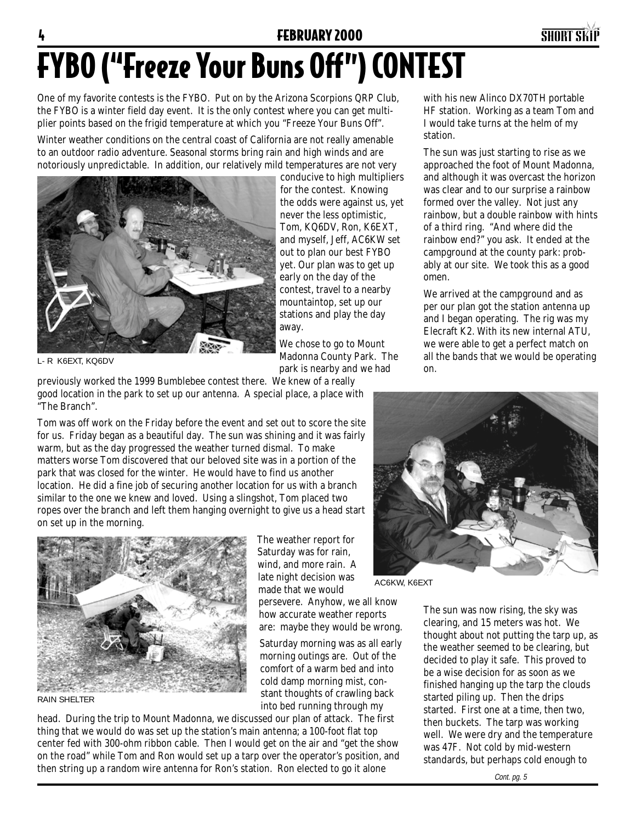#### **FEBRUARY 2000** SHORT SKIPS



# FYBO ("Freeze Your Buns Off") CONTEST

One of my favorite contests is the FYBO. Put on by the Arizona Scorpions QRP Club, the FYBO is a winter field day event. It is the only contest where you can get multiplier points based on the frigid temperature at which you "Freeze Your Buns Off".

Winter weather conditions on the central coast of California are not really amenable to an outdoor radio adventure. Seasonal storms bring rain and high winds and are notoriously unpredictable. In addition, our relatively mild temperatures are not very



conducive to high multipliers for the contest. Knowing the odds were against us, yet never the less optimistic, Tom, KQ6DV, Ron, K6EXT, and myself, Jeff, AC6KW set out to plan our best FYBO yet. Our plan was to get up early on the day of the contest, travel to a nearby mountaintop, set up our stations and play the day away.

We chose to go to Mount Madonna County Park. The park is nearby and we had

L- R K6EXT, KQ6DV

previously worked the 1999 Bumblebee contest there. We knew of a really good location in the park to set up our antenna. A special place, a place with "The Branch".

Tom was off work on the Friday before the event and set out to score the site for us. Friday began as a beautiful day. The sun was shining and it was fairly warm, but as the day progressed the weather turned dismal. To make matters worse Tom discovered that our beloved site was in a portion of the park that was closed for the winter. He would have to find us another location. He did a fine job of securing another location for us with a branch similar to the one we knew and loved. Using a slingshot, Tom placed two ropes over the branch and left them hanging overnight to give us a head start on set up in the morning.



RAIN SHELTER

The weather report for Saturday was for rain, wind, and more rain. A late night decision was made that we would

persevere. Anyhow, we all know how accurate weather reports are: maybe they would be wrong.

Saturday morning was as all early morning outings are. Out of the comfort of a warm bed and into cold damp morning mist, constant thoughts of crawling back into bed running through my

head. During the trip to Mount Madonna, we discussed our plan of attack. The first thing that we would do was set up the station's main antenna; a 100-foot flat top center fed with 300-ohm ribbon cable. Then I would get on the air and "get the show on the road" while Tom and Ron would set up a tarp over the operator's position, and then string up a random wire antenna for Ron's station. Ron elected to go it alone

with his new Alinco DX70TH portable HF station. Working as a team Tom and I would take turns at the helm of my station.

The sun was just starting to rise as we approached the foot of Mount Madonna, and although it was overcast the horizon was clear and to our surprise a rainbow formed over the valley. Not just any rainbow, but a double rainbow with hints of a third ring. "And where did the rainbow end?" you ask. It ended at the campground at the county park: probably at our site. We took this as a good omen.

We arrived at the campground and as per our plan got the station antenna up and I began operating. The rig was my Elecraft K2. With its new internal ATU, we were able to get a perfect match on all the bands that we would be operating on.



AC6KW, K6EXT

The sun was now rising, the sky was clearing, and 15 meters was hot. We thought about not putting the tarp up, as the weather seemed to be clearing, but decided to play it safe. This proved to be a wise decision for as soon as we finished hanging up the tarp the clouds started piling up. Then the drips started. First one at a time, then two, then buckets. The tarp was working well. We were dry and the temperature was 47F. Not cold by mid-western standards, but perhaps cold enough to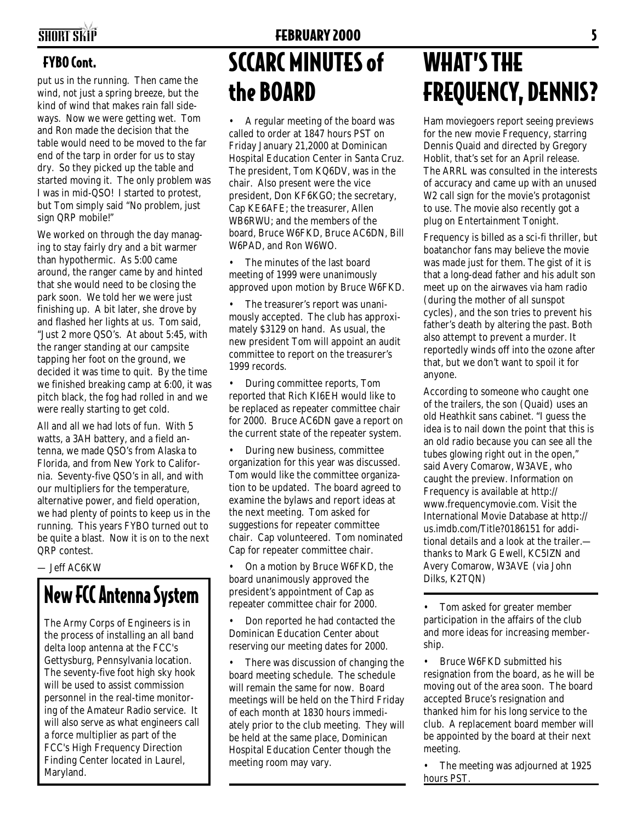#### SHORT SKIP FEBRUARY 2000 **FEBRUARY 2000**

#### FYBO Cont.

put us in the running. Then came the wind, not just a spring breeze, but the kind of wind that makes rain fall sideways. Now we were getting wet. Tom and Ron made the decision that the table would need to be moved to the far end of the tarp in order for us to stay dry. So they picked up the table and started moving it. The only problem was I was in mid-QSO! I started to protest, but Tom simply said "No problem, just sign QRP mobile!"

We worked on through the day managing to stay fairly dry and a bit warmer than hypothermic. As 5:00 came around, the ranger came by and hinted that she would need to be closing the park soon. We told her we were just finishing up. A bit later, she drove by and flashed her lights at us. Tom said, "Just 2 more QSO's. At about 5:45, with the ranger standing at our campsite tapping her foot on the ground, we decided it was time to quit. By the time we finished breaking camp at 6:00, it was pitch black, the fog had rolled in and we were really starting to get cold.

All and all we had lots of fun. With 5 watts, a 3AH battery, and a field antenna, we made QSO's from Alaska to Florida, and from New York to California. Seventy-five QSO's in all, and with our multipliers for the temperature, alternative power, and field operation, we had plenty of points to keep us in the running. This years FYBO turned out to be quite a blast. Now it is on to the next QRP contest.

— Jeff AC6KW

### New FCC Antenna System

The Army Corps of Engineers is in the process of installing an all band delta loop antenna at the FCC's Gettysburg, Pennsylvania location. The seventy-five foot high sky hook will be used to assist commission personnel in the real-time monitoring of the Amateur Radio service. It will also serve as what engineers call a force multiplier as part of the FCC's High Frequency Direction Finding Center located in Laurel, Maryland.

# SCCARC MINUTES of the BOARD

• A regular meeting of the board was called to order at 1847 hours PST on Friday January 21,2000 at Dominican Hospital Education Center in Santa Cruz. The president, Tom KQ6DV, was in the chair. Also present were the vice president, Don KF6KGO; the secretary, Cap KE6AFE; the treasurer, Allen WB6RWU; and the members of the board, Bruce W6FKD, Bruce AC6DN, Bill W6PAD, and Ron W6WO.

The minutes of the last board meeting of 1999 were unanimously approved upon motion by Bruce W6FKD.

• The treasurer's report was unanimously accepted. The club has approximately \$3129 on hand. As usual, the new president Tom will appoint an audit committee to report on the treasurer's 1999 records.

• During committee reports, Tom reported that Rich KI6EH would like to be replaced as repeater committee chair for 2000. Bruce AC6DN gave a report on the current state of the repeater system.

• During new business, committee organization for this year was discussed. Tom would like the committee organization to be updated. The board agreed to examine the bylaws and report ideas at the next meeting. Tom asked for suggestions for repeater committee chair. Cap volunteered. Tom nominated Cap for repeater committee chair.

• On a motion by Bruce W6FKD, the board unanimously approved the president's appointment of Cap as repeater committee chair for 2000.

• Don reported he had contacted the Dominican Education Center about reserving our meeting dates for 2000.

There was discussion of changing the board meeting schedule. The schedule will remain the same for now. Board meetings will be held on the Third Friday of each month at 1830 hours immediately prior to the club meeting. They will be held at the same place, Dominican Hospital Education Center though the meeting room may vary.

## WHAT'S THE FREQUENCY, DENNIS?

Ham moviegoers report seeing previews for the new movie Frequency, starring Dennis Quaid and directed by Gregory Hoblit, that's set for an April release. The ARRL was consulted in the interests of accuracy and came up with an unused W2 call sign for the movie's protagonist to use. The movie also recently got a plug on Entertainment Tonight.

Frequency is billed as a sci-fi thriller, but boatanchor fans may believe the movie was made just for them. The gist of it is that a long-dead father and his adult son meet up on the airwaves via ham radio (during the mother of all sunspot cycles), and the son tries to prevent his father's death by altering the past. Both also attempt to prevent a murder. It reportedly winds off into the ozone after that, but we don't want to spoil it for anyone.

According to someone who caught one of the trailers, the son (Quaid) uses an old Heathkit sans cabinet. "I guess the idea is to nail down the point that this is an old radio because you can see all the tubes glowing right out in the open," said Avery Comarow, W3AVE, who caught the preview. Information on Frequency is available at http:// www.frequencymovie.com. Visit the International Movie Database at http:// us.imdb.com/Title?0186151 for additional details and a look at the trailer. thanks to Mark G Ewell, KC5IZN and Avery Comarow, W3AVE (via John Dilks, K2TQN)

• Tom asked for greater member participation in the affairs of the club and more ideas for increasing membership.

• Bruce W6FKD submitted his resignation from the board, as he will be moving out of the area soon. The board accepted Bruce's resignation and thanked him for his long service to the club. A replacement board member will be appointed by the board at their next meeting.

The meeting was adjourned at 1925 hours PST.